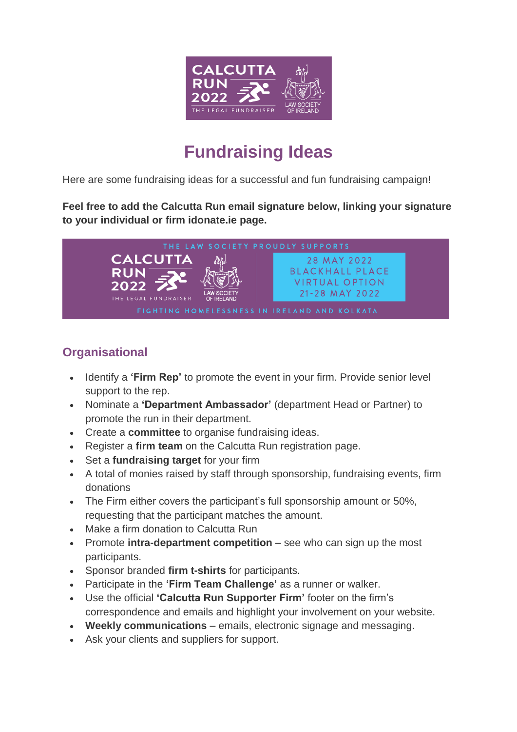

# **Fundraising Ideas**

Here are some fundraising ideas for a successful and fun fundraising campaign!

**Feel free to add the Calcutta Run email signature below, linking your signature to your individual or firm idonate.ie page.**



#### **Organisational**

- Identify a **'Firm Rep'** to promote the event in your firm. Provide senior level support to the rep.
- Nominate a **'Department Ambassador'** (department Head or Partner) to promote the run in their department.
- Create a **committee** to organise fundraising ideas.
- Register a **firm team** on the Calcutta Run registration page.
- Set a **fundraising target** for your firm
- A total of monies raised by staff through sponsorship, fundraising events, firm donations
- The Firm either covers the participant's full sponsorship amount or 50%, requesting that the participant matches the amount.
- Make a firm donation to Calcutta Run
- Promote **intra-department competition** see who can sign up the most participants.
- Sponsor branded **firm t-shirts** for participants.
- Participate in the **'Firm Team Challenge'** as a runner or walker.
- Use the official **'Calcutta Run Supporter Firm'** footer on the firm's correspondence and emails and highlight your involvement on your website.
- **Weekly communications** emails, electronic signage and messaging.
- Ask your clients and suppliers for support.